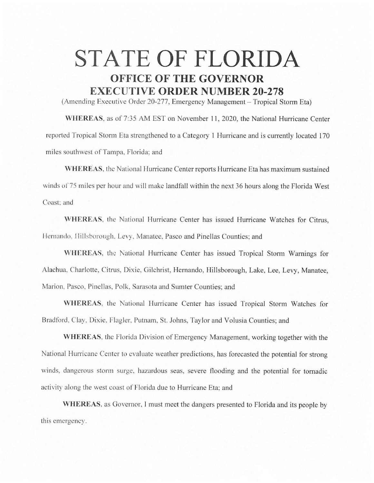## **STATE OF FLORIDA OFFICE OF THE GOVERNOR EXECUTIVE ORDER NUMBER 20-278**

(Amending Executive Order 20-277, Emergency Management - Tropical Storm Eta)

WHEREAS, as of 7:35 AM EST on November 11, 2020, the National Hurricane Center reported Tropical Storm Eta strengthened to a Category 1 Hurricane and is currently located 170 miles southwest of Tampa, Florida; and

**WHEREAS,** the National Hurricane Center reports Hurricane Eta has maximum sustained winds of 75 miles per hour and will make landfall within the next 36 hours along the Florida West Coast; and

**\VHEREAS.** the National Hurricane Center has issued Hurricane Watches for Citrus, Hernando, Hillsborough, Levy, Manatee, Pasco and Pinellas Counties; and

WHEREAS, the National Hurricane Center has issued Tropical Storm Warnings for Alachua, Charlotte, Citrus, Dixie, Gilchrist, Hernando, Hillsborough, Lake, Lee, Levy, Manatee, Marion, Pasco, Pinellas, Polk, Sarasota and Sumter Counties; and

**WHEREAS,** the National Hurricane Center has issued Tropical Storm Watches for Bradford, Clay, Dixie. Flagler. Putnam, St. Jolms, Taylor and Volusia Counties; and

**WHEREAS.** the Florida Division of Emergency Management, working together with the National Hurricane Center to evaluate weather predictions, has forecasted the potential for strong winds, dangerous storm surge, hazardous seas, severe flooding and the potential for tornadic activity along the west coast of Florida due to Hurricane Eta; and

**WHEREAS.** as Governor, I must meet the dangers presented to Florida and its people by this emergency.